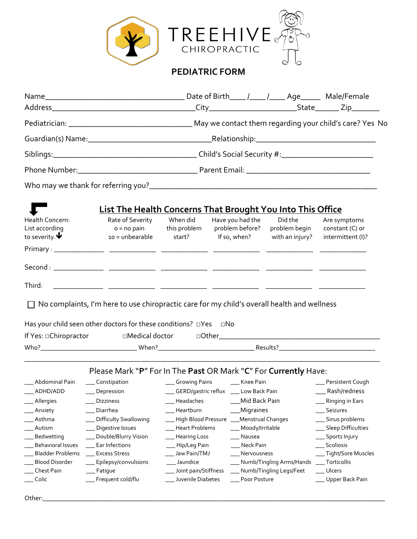

## **PEDIATRIC FORM**

|                                                                                                                                                                                                                                | <b>List The Health Concerns That Brought You Into This Office</b> |                                    |                                                     |                                             |                                                      |  |  |  |
|--------------------------------------------------------------------------------------------------------------------------------------------------------------------------------------------------------------------------------|-------------------------------------------------------------------|------------------------------------|-----------------------------------------------------|---------------------------------------------|------------------------------------------------------|--|--|--|
| Health Concern:<br>List according<br>to severity. $\blacklozenge$                                                                                                                                                              | Rate of Severity<br>$o = no$ pain<br>$10 =$ unbearable            | When did<br>this problem<br>start? | Have you had the<br>problem before?<br>If so, when? | Did the<br>problem begin<br>with an injury? | Are symptoms<br>constant (C) or<br>intermittent (I)? |  |  |  |
|                                                                                                                                                                                                                                |                                                                   |                                    |                                                     |                                             |                                                      |  |  |  |
| Second : and the second second second second second second second second second second second second second second second second second second second second second second second second second second second second second se |                                                                   |                                    |                                                     |                                             |                                                      |  |  |  |
| Third:                                                                                                                                                                                                                         |                                                                   |                                    |                                                     |                                             |                                                      |  |  |  |

□ No complaints, I'm here to use chiropractic care for my child's overall health and wellness

| Has your child seen other doctors for these conditions? $\Box$ Yes |                         | ⊡No          |          |
|--------------------------------------------------------------------|-------------------------|--------------|----------|
| If Yes: □Chiropractor                                              | $\sqcap$ Medical doctor | $\Box$ Other |          |
| Who?                                                               | When?                   |              | Results? |

\_\_\_\_\_\_\_\_\_\_\_\_\_\_\_\_\_\_\_\_\_\_\_\_\_\_\_\_\_\_\_\_\_\_\_\_\_\_\_\_\_\_\_\_\_\_\_\_\_\_\_\_\_\_\_\_\_\_\_\_\_\_\_\_\_\_\_\_\_\_\_\_\_\_\_\_\_\_\_\_\_\_\_\_\_\_\_\_\_\_\_\_\_\_\_\_\_\_\_\_\_\_\_\_\_\_\_

| Please Mark "P" For In The Past OR Mark "C" For Currently Have: |                           |                                               |                              |                        |  |  |  |
|-----------------------------------------------------------------|---------------------------|-----------------------------------------------|------------------------------|------------------------|--|--|--|
| Abdominal Pain                                                  | ___ Constipation          | __ Growing Pains                              | Knee Pain                    | __ Persistent Cough    |  |  |  |
| $\_\_\$                                                         | ___ Depression            | ___ GERD/gastric reflux ___ Low Back Pain     |                              | ___ Rash/redness       |  |  |  |
| __ Allergies                                                    | <b>Dizziness</b>          | Headaches                                     | Mid Back Pain                | __ Ringing in Ears     |  |  |  |
| ___ Anxiety                                                     | Diarrhea                  | Heartburn                                     | ____ Migraines               | Seizures               |  |  |  |
| Asthma                                                          | ___ Difficulty Swallowing | ___ High Blood Pressure ___ Menstrual Changes |                              | ___ Sinus problems     |  |  |  |
| Autism                                                          | __ Digestive Issues       | <b>Heart Problems</b>                         | ___ Moody/Irritable          | ___ Sleep Difficulties |  |  |  |
| Bedwetting                                                      | __ Double/Blurry Vision   | ___ Hearing Loss                              | Nausea                       | ___ Sports Injury      |  |  |  |
| <b>Behavioral Issues</b>                                        | Ear Infections            | __ Hip/Leg Pain                               | Neck Pain                    | Scoliosis              |  |  |  |
| Bladder Problems                                                | Excess Stress             | ___ Jaw Pain/TMJ                              | Nervousness                  | ___ Tight/Sore Muscles |  |  |  |
| Blood Disorder                                                  | ___ Epilepsy/convulsions  | Jaundice                                      | ___ Numb/Tingling Arms/Hands | Torticollis            |  |  |  |
| Chest Pain                                                      | __ Fatique                | ___ Joint pain/Stiffness                      | __ Numb/Tingling Legs/Feet   | Ulcers                 |  |  |  |
| Colic                                                           | __ Frequent cold/flu      | Juvenile Diabetes                             | Poor Posture                 | __ Upper Back Pain     |  |  |  |